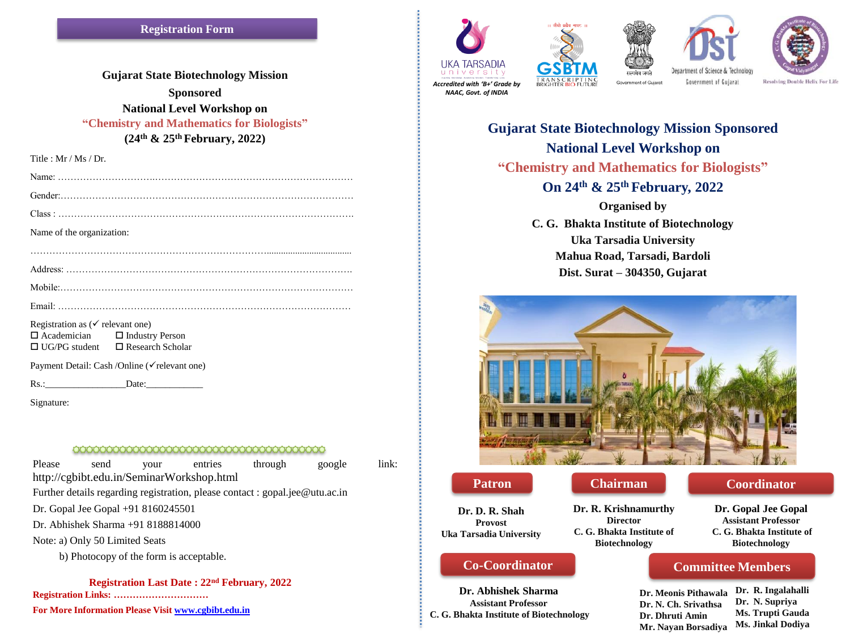**Gujarat State Biotechnology Mission Sponsored National Level Workshop on "Chemistry and Mathematics for Biologists" (24th & 25th February, 2022)**

Title : Mr / Ms / Dr.

| Name of the organization:                                                                                          |  |
|--------------------------------------------------------------------------------------------------------------------|--|
|                                                                                                                    |  |
|                                                                                                                    |  |
|                                                                                                                    |  |
|                                                                                                                    |  |
| $\mathbf{p}$ and $\mathbf{p}$ and $\mathbf{p}$ and $\mathbf{p}$ and $\mathbf{p}$ and $\mathbf{p}$ and $\mathbf{p}$ |  |

Registration as ( $\checkmark$  relevant one)  $\Box$  Academician  $\Box$  Industry Person  $\Box$  UG/PG student  $\Box$  Research Scholar

Payment Detail: Cash /Online (√relevant one)

Rs.:\_\_\_\_\_\_\_\_\_\_\_\_\_\_\_\_\_Date:\_\_\_\_\_\_\_\_\_\_\_\_

Signature:

#### <u>AAAAAAAAAAAAAAAAAAAAAAAAAAAAAA</u>

Please send your entries through google link: http://cgbibt.edu.in/SeminarWorkshop.html Further details regarding registration, please contact : gopal.jee@utu.ac.in Dr. Gopal Jee Gopal +91 8160245501 Dr. Abhishek Sharma +91 8188814000 Note: a) Only 50 Limited Seats b) Photocopy of the form is acceptable.

**Registration Last Date : 22nd February, 2022**

**Registration Links: …………………………**

**For More Information Please Visit [www.cgbibt.edu.in](http://www.cgbibt.edu.in/)**









*NAAC, Govt. of INDIA*

emment of Gujarat

Government of Gujarat

**Resolving Double Helix For Life** 

# **Gujarat State Biotechnology Mission Sponsored National Level Workshop on "Chemistry and Mathematics for Biologists" On 24th & 25th February, 2022**

**Organised by** 

**C. G. Bhakta Institute of Biotechnology Uka Tarsadia University Mahua Road, Tarsadi, Bardoli Dist. Surat – 304350, Gujarat**



**Dr. D. R. Shah Provost Uka Tarsadia University**

**Dr. R. Krishnamurthy Director C. G. Bhakta Institute of Biotechnology**

# **Co-Coordinator**

**Dr. Abhishek Sharma Assistant Professor C. G. Bhakta Institute of Biotechnology**

**Patron Chairman Coordinator** 

**Dr. Gopal Jee Gopal Assistant Professor C. G. Bhakta Institute of Biotechnology**

## **Committee Members**

**Dr. Meonis Pithawala Dr. N. Ch. Srivathsa Dr. Dhruti Amin Mr. Nayan Borsadiya Dr. R. Ingalahalli Dr. N. Supriya Ms. Trupti Gauda Ms. Jinkal Dodiya**